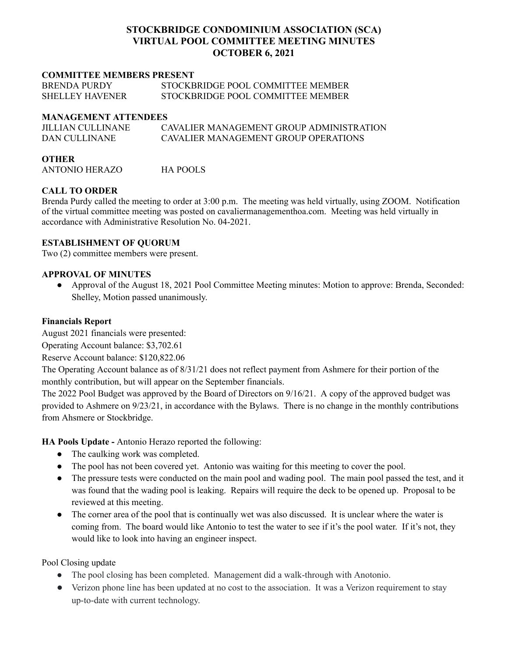# **STOCKBRIDGE CONDOMINIUM ASSOCIATION (SCA) VIRTUAL POOL COMMITTEE MEETING MINUTES OCTOBER 6, 2021**

### **COMMITTEE MEMBERS PRESENT**

| <b>BRENDA PURDY</b>    | STOCKBRIDGE POOL COMMITTEE MEMBER |
|------------------------|-----------------------------------|
| <b>SHELLEY HAVENER</b> | STOCKBRIDGE POOL COMMITTEE MEMBER |

#### **MANAGEMENT ATTENDEES**

| <b>JILLIAN CULLINANE</b> | CAVALIER MANAGEMENT GROUP ADMINISTRATION |
|--------------------------|------------------------------------------|
| DAN CULLINANE            | CAVALIER MANAGEMENT GROUP OPER ATIONS    |

#### **OTHER**

ANTONIO HERAZO HA POOLS

# **CALL TO ORDER**

Brenda Purdy called the meeting to order at 3:00 p.m. The meeting was held virtually, using ZOOM. Notification of the virtual committee meeting was posted on cavaliermanagementhoa.com. Meeting was held virtually in accordance with Administrative Resolution No. 04-2021.

# **ESTABLISHMENT OF QUORUM**

Two (2) committee members were present.

# **APPROVAL OF MINUTES**

● Approval of the August 18, 2021 Pool Committee Meeting minutes: Motion to approve: Brenda, Seconded: Shelley, Motion passed unanimously.

### **Financials Report**

August 2021 financials were presented:

Operating Account balance: \$3,702.61

Reserve Account balance: \$120,822.06

The Operating Account balance as of 8/31/21 does not reflect payment from Ashmere for their portion of the monthly contribution, but will appear on the September financials.

The 2022 Pool Budget was approved by the Board of Directors on 9/16/21. A copy of the approved budget was provided to Ashmere on 9/23/21, in accordance with the Bylaws. There is no change in the monthly contributions from Ahsmere or Stockbridge.

**HA Pools Update -** Antonio Herazo reported the following:

- The caulking work was completed.
- The pool has not been covered yet. Antonio was waiting for this meeting to cover the pool.
- The pressure tests were conducted on the main pool and wading pool. The main pool passed the test, and it was found that the wading pool is leaking. Repairs will require the deck to be opened up. Proposal to be reviewed at this meeting.
- The corner area of the pool that is continually wet was also discussed. It is unclear where the water is coming from. The board would like Antonio to test the water to see if it's the pool water. If it's not, they would like to look into having an engineer inspect.

Pool Closing update

- The pool closing has been completed. Management did a walk-through with Anotonio.
- Verizon phone line has been updated at no cost to the association. It was a Verizon requirement to stay up-to-date with current technology.